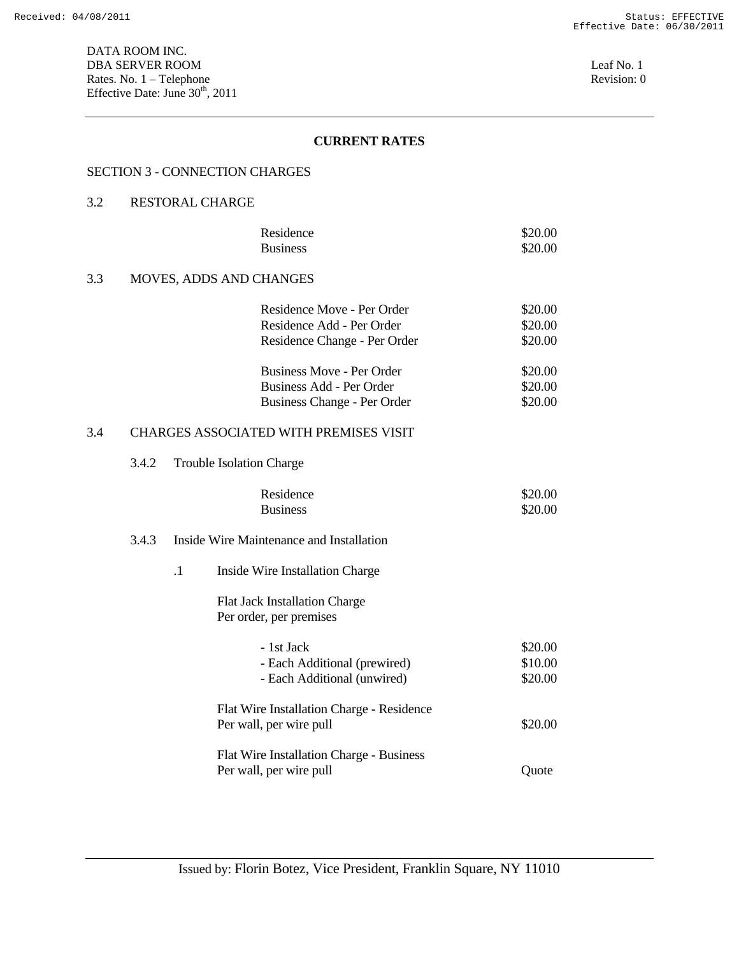#### SECTION 3 - CONNECTION CHARGES

## 3.2 RESTORAL CHARGE

|     |                                | Residence<br><b>Business</b>     | \$20.00<br>\$20.00 |
|-----|--------------------------------|----------------------------------|--------------------|
| 3.3 | <b>MOVES, ADDS AND CHANGES</b> |                                  |                    |
|     |                                | Residence Move - Per Order       | \$20.00            |
|     |                                | Residence Add - Per Order        | \$20.00            |
|     |                                | Residence Change - Per Order     | \$20.00            |
|     |                                | <b>Business Move - Per Order</b> | \$20.00            |
|     |                                | Business Add - Per Order         | \$20.00            |
|     |                                | Business Change - Per Order      | \$20.00            |
|     |                                |                                  |                    |

# 3.4 CHARGES ASSOCIATED WITH PREMISES VISIT

3.4.2 Trouble Isolation Charge

| Residence       | \$20.00 |
|-----------------|---------|
| <b>Business</b> | \$20.00 |

#### 3.4.3 Inside Wire Maintenance and Installation

.1 Inside Wire Installation Charge

 Flat Jack Installation Charge Per order, per premises

| - 1st Jack<br>- Each Additional (prewired)<br>- Each Additional (unwired) | \$20.00<br>\$10.00<br>\$20.00 |
|---------------------------------------------------------------------------|-------------------------------|
| Flat Wire Installation Charge - Residence                                 |                               |
| Per wall, per wire pull                                                   | \$20.00                       |
| Flat Wire Installation Charge - Business                                  |                               |
| Per wall, per wire pull                                                   | Ouote                         |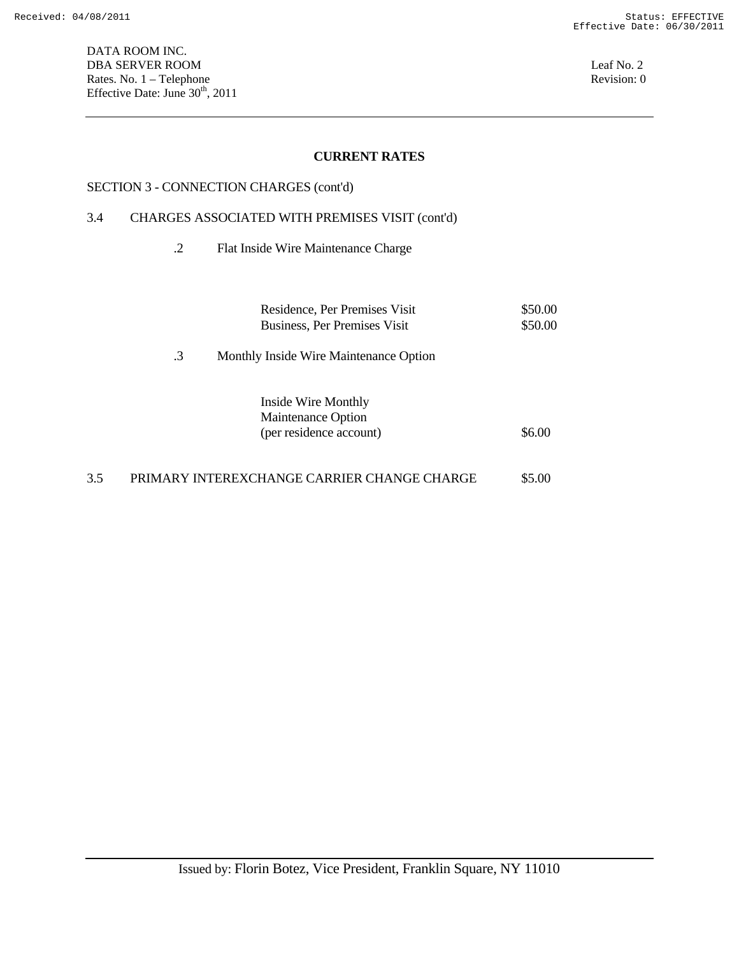DATA ROOM INC. DBA SERVER ROOM Leaf No. 2 Rates. No. 1 – Telephone Revision: 0 Effective Date: June  $30<sup>th</sup>$ , 2011

## **CURRENT RATES**

#### SECTION 3 - CONNECTION CHARGES (cont'd)

#### 3.4 CHARGES ASSOCIATED WITH PREMISES VISIT (cont'd)

.2 Flat Inside Wire Maintenance Charge

|    | Residence, Per Premises Visit<br>Business, Per Premises Visit        | \$50.00<br>\$50.00 |
|----|----------------------------------------------------------------------|--------------------|
| .3 | Monthly Inside Wire Maintenance Option                               |                    |
|    | Inside Wire Monthly<br>Maintenance Option<br>(per residence account) | \$6.00             |
|    |                                                                      |                    |

# 3.5 PRIMARY INTEREXCHANGE CARRIER CHANGE CHARGE \$5.00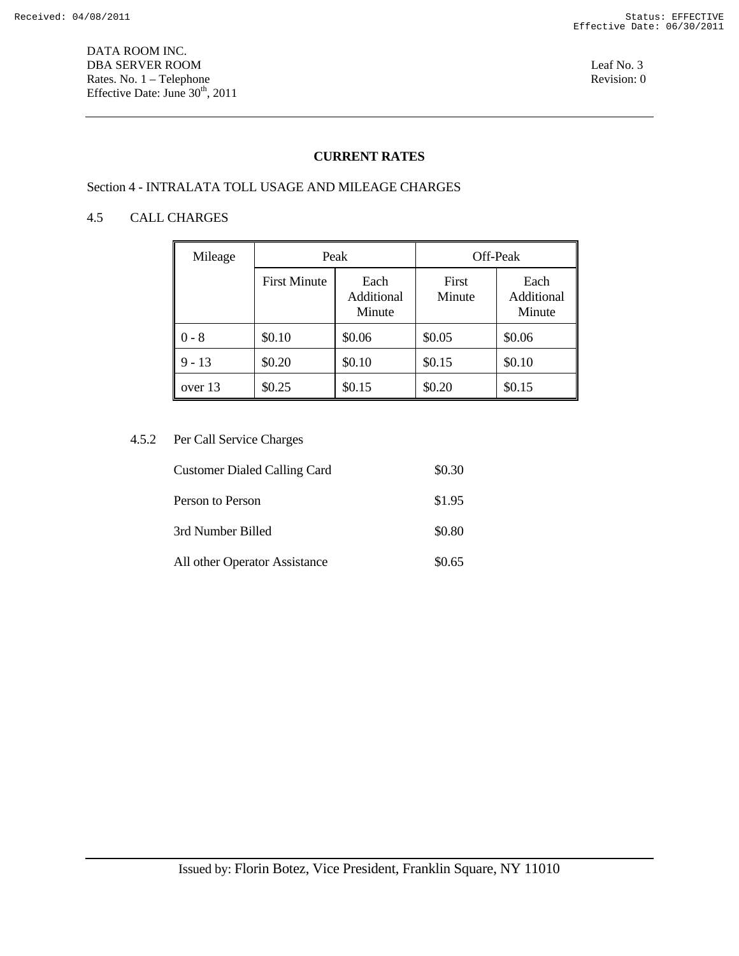DATA ROOM INC. DBA SERVER ROOM Leaf No. 3 Rates. No. 1 – Telephone Revision: 0 Effective Date: June  $30<sup>th</sup>$ , 2011

## **CURRENT RATES**

# Section 4 - INTRALATA TOLL USAGE AND MILEAGE CHARGES

#### 4.5 CALL CHARGES

| Mileage  | Peak                |                              | Off-Peak        |                              |
|----------|---------------------|------------------------------|-----------------|------------------------------|
|          | <b>First Minute</b> | Each<br>Additional<br>Minute | First<br>Minute | Each<br>Additional<br>Minute |
| $-8$     | \$0.10              | \$0.06                       | \$0.05          | \$0.06                       |
| $9 - 13$ | \$0.20              | \$0.10                       | \$0.15          | \$0.10                       |
| over 13  | \$0.25              | \$0.15                       | \$0.20          | \$0.15                       |

#### 4.5.2 Per Call Service Charges

| <b>Customer Dialed Calling Card</b> | \$0.30 |
|-------------------------------------|--------|
| Person to Person                    | \$1.95 |
| 3rd Number Billed                   | \$0.80 |
| All other Operator Assistance       | \$0.65 |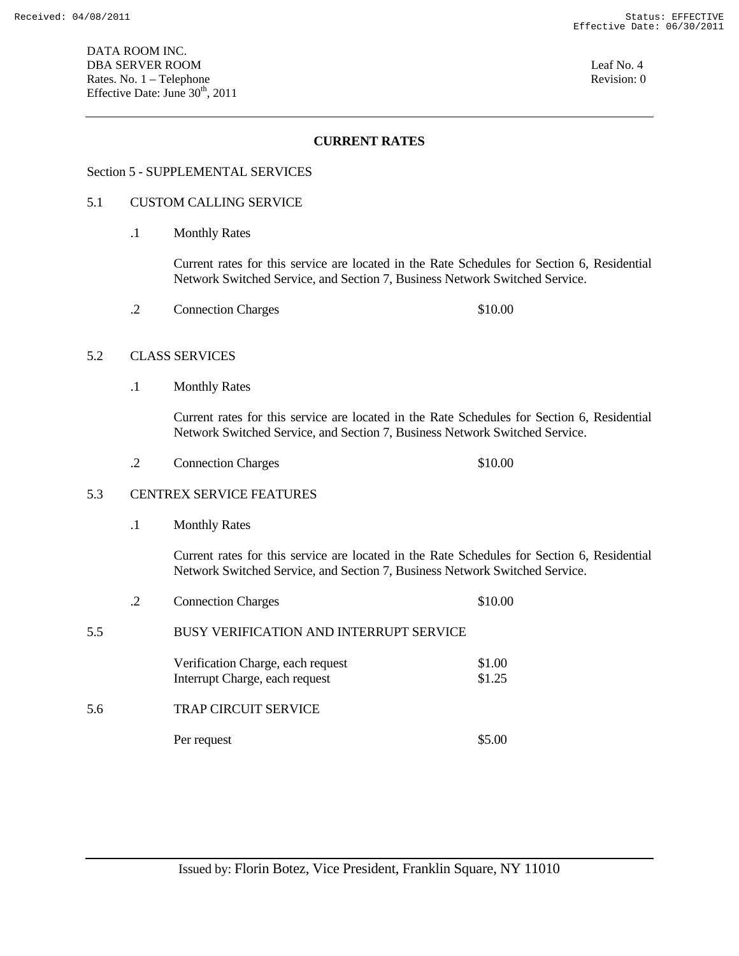#### Section 5 - SUPPLEMENTAL SERVICES

#### 5.1 CUSTOM CALLING SERVICE

.1 Monthly Rates

 Current rates for this service are located in the Rate Schedules for Section 6, Residential Network Switched Service, and Section 7, Business Network Switched Service.

.2 Connection Charges \$10.00

#### 5.2 CLASS SERVICES

.1 Monthly Rates

 Current rates for this service are located in the Rate Schedules for Section 6, Residential Network Switched Service, and Section 7, Business Network Switched Service.

.2 Connection Charges \$10.00

#### 5.3 CENTREX SERVICE FEATURES

.1 Monthly Rates

 Current rates for this service are located in the Rate Schedules for Section 6, Residential Network Switched Service, and Section 7, Business Network Switched Service.

- .2 Connection Charges \$10.00
- 5.5 BUSY VERIFICATION AND INTERRUPT SERVICE

| Verification Charge, each request | \$1.00 |
|-----------------------------------|--------|
| Interrupt Charge, each request    | \$1.25 |
|                                   |        |

5.6 TRAP CIRCUIT SERVICE

Per request \$5.00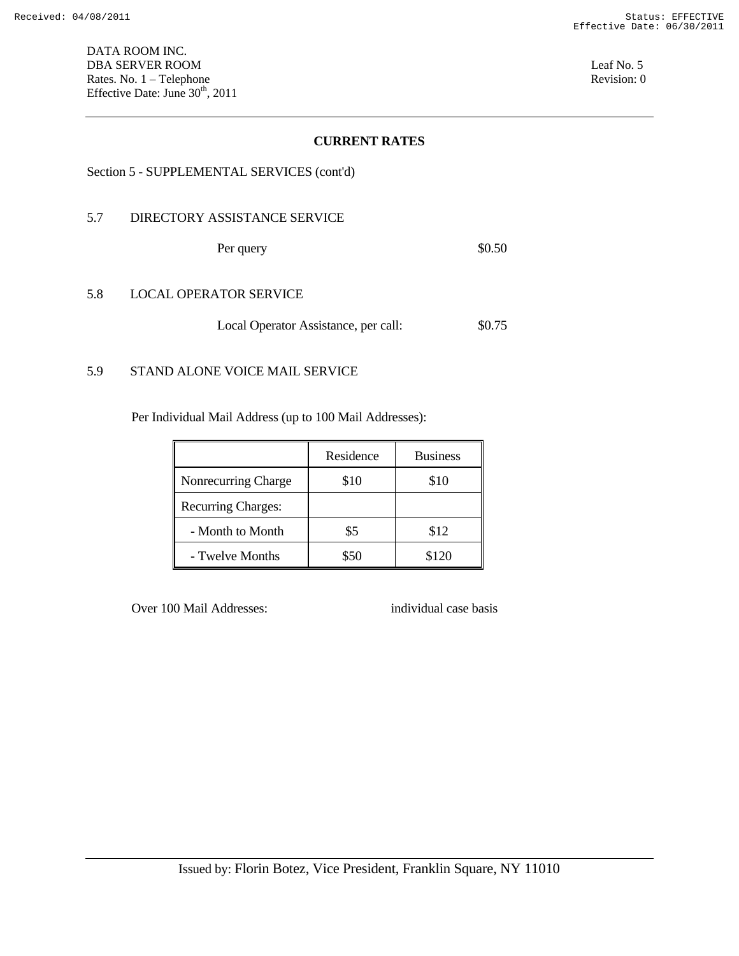#### Section 5 - SUPPLEMENTAL SERVICES (cont'd)

#### 5.7 DIRECTORY ASSISTANCE SERVICE

Per query \$0.50

#### 5.8 LOCAL OPERATOR SERVICE

Local Operator Assistance, per call: \$0.75

#### 5.9 STAND ALONE VOICE MAIL SERVICE

Per Individual Mail Address (up to 100 Mail Addresses):

|                           | Residence | <b>Business</b> |
|---------------------------|-----------|-----------------|
| Nonrecurring Charge       | \$10      | \$10            |
| <b>Recurring Charges:</b> |           |                 |
| - Month to Month          | \$5       | \$12            |
| - Twelve Months           | \$50      | \$120           |

Over 100 Mail Addresses: individual case basis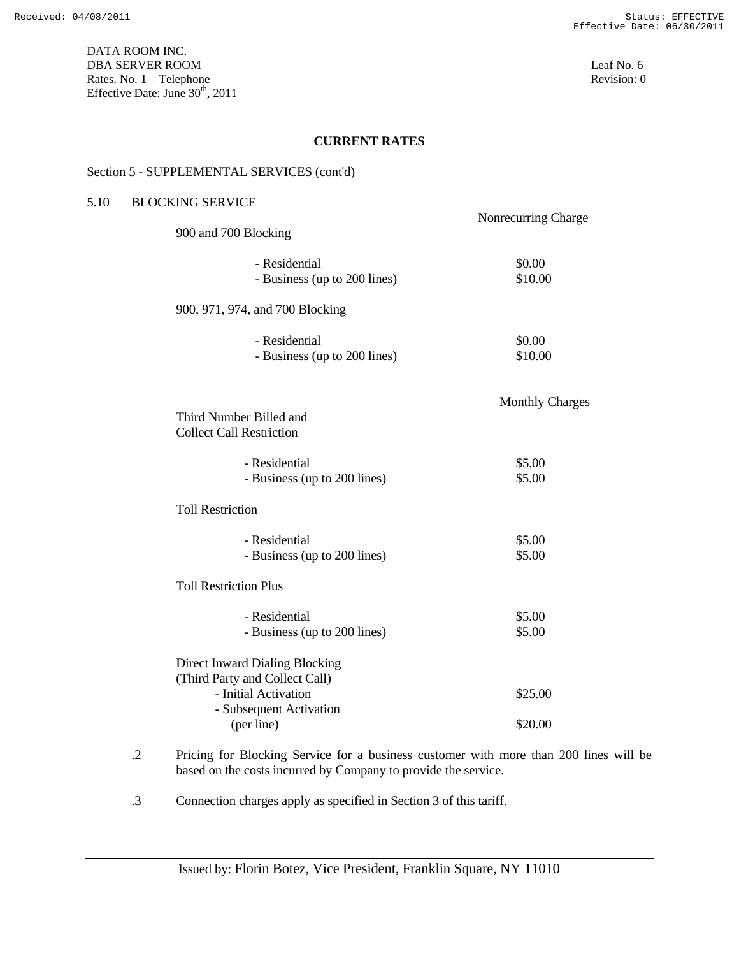#### Section 5 - SUPPLEMENTAL SERVICES (cont'd)

## 5.10 BLOCKING SERVICE

|                                       | Nonrecurring Charge    |
|---------------------------------------|------------------------|
| 900 and 700 Blocking                  |                        |
| - Residential                         | \$0.00                 |
| - Business (up to 200 lines)          | \$10.00                |
| 900, 971, 974, and 700 Blocking       |                        |
| - Residential                         | \$0.00                 |
| - Business (up to 200 lines)          | \$10.00                |
|                                       |                        |
| Third Number Billed and               | <b>Monthly Charges</b> |
| <b>Collect Call Restriction</b>       |                        |
| - Residential                         | \$5.00                 |
| - Business (up to 200 lines)          | \$5.00                 |
| <b>Toll Restriction</b>               |                        |
| - Residential                         | \$5.00                 |
| - Business (up to 200 lines)          | \$5.00                 |
| <b>Toll Restriction Plus</b>          |                        |
| - Residential                         | \$5.00                 |
| - Business (up to 200 lines)          | \$5.00                 |
| <b>Direct Inward Dialing Blocking</b> |                        |
| (Third Party and Collect Call)        |                        |
| - Initial Activation                  | \$25.00                |
| - Subsequent Activation<br>(per line) | \$20.00                |

- .2 Pricing for Blocking Service for a business customer with more than 200 lines will be based on the costs incurred by Company to provide the service.
- .3 Connection charges apply as specified in Section 3 of this tariff.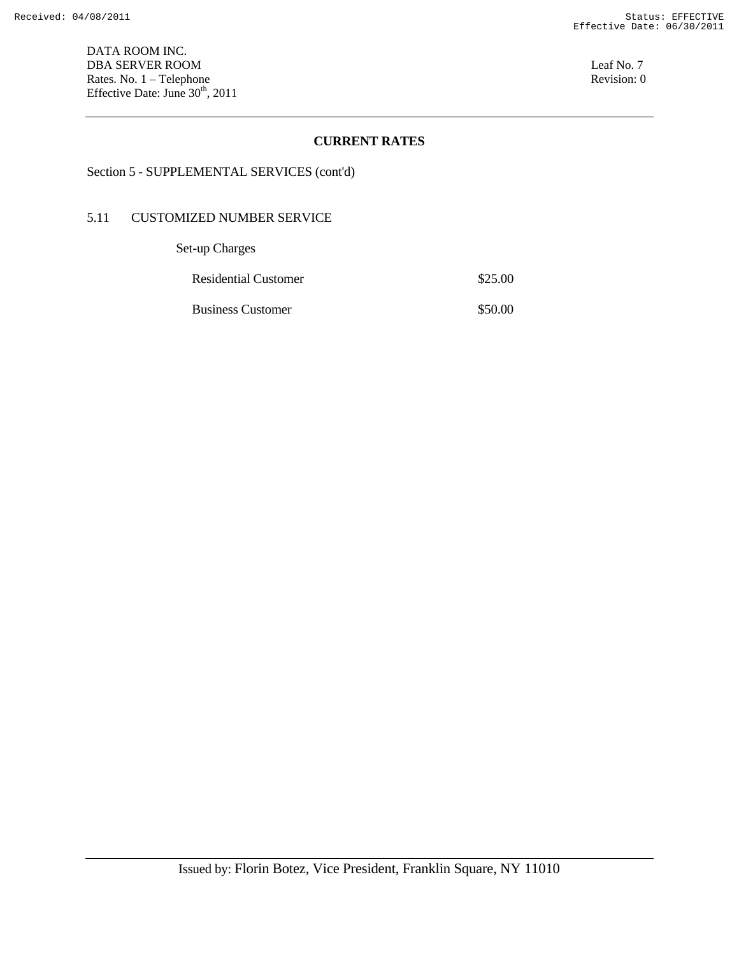DATA ROOM INC. DBA SERVER ROOM Leaf No. 7 Rates. No. 1 – Telephone Revision: 0 Effective Date: June  $30<sup>th</sup>$ , 2011

## **CURRENT RATES**

# Section 5 - SUPPLEMENTAL SERVICES (cont'd)

#### 5.11 CUSTOMIZED NUMBER SERVICE

Set-up Charges

| \$25.00 |
|---------|
|         |

Business Customer \$50.00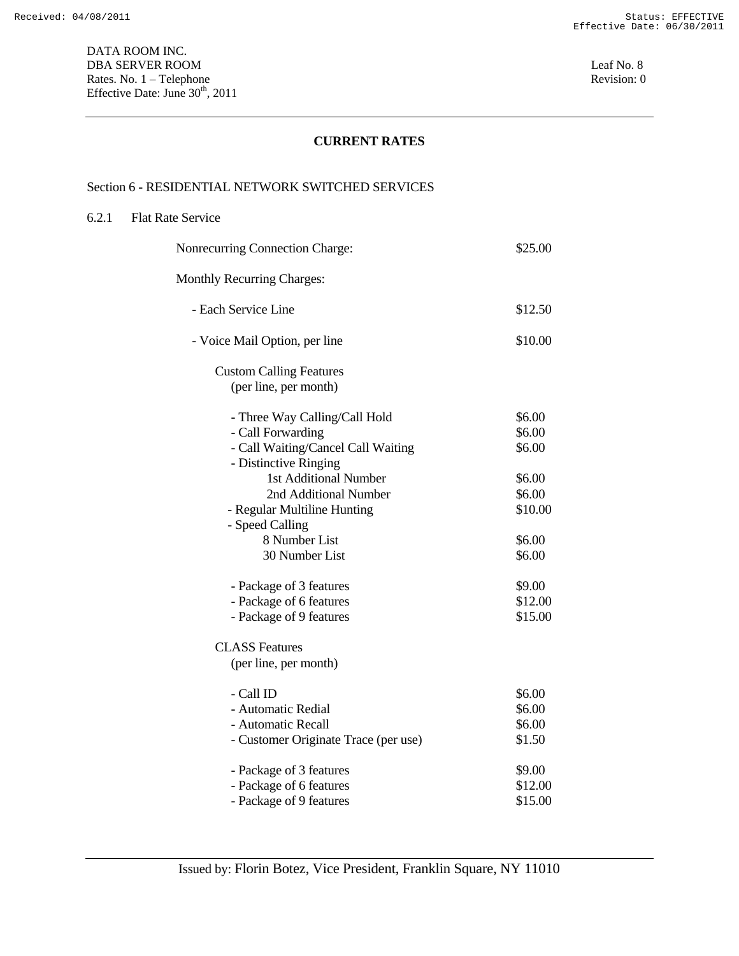# Section 6 - RESIDENTIAL NETWORK SWITCHED SERVICES

#### 6.2.1 Flat Rate Service

| Nonrecurring Connection Charge:      | \$25.00 |
|--------------------------------------|---------|
| <b>Monthly Recurring Charges:</b>    |         |
| - Each Service Line                  | \$12.50 |
| - Voice Mail Option, per line        | \$10.00 |
| <b>Custom Calling Features</b>       |         |
| (per line, per month)                |         |
| - Three Way Calling/Call Hold        | \$6.00  |
| - Call Forwarding                    | \$6.00  |
| - Call Waiting/Cancel Call Waiting   | \$6.00  |
| - Distinctive Ringing                |         |
| 1st Additional Number                | \$6.00  |
| 2nd Additional Number                | \$6.00  |
| - Regular Multiline Hunting          | \$10.00 |
| - Speed Calling                      |         |
| 8 Number List                        | \$6.00  |
| 30 Number List                       | \$6.00  |
| - Package of 3 features              | \$9.00  |
| - Package of 6 features              | \$12.00 |
| - Package of 9 features              | \$15.00 |
| <b>CLASS Features</b>                |         |
| (per line, per month)                |         |
| - Call ID                            | \$6.00  |
| - Automatic Redial                   | \$6.00  |
| - Automatic Recall                   | \$6.00  |
| - Customer Originate Trace (per use) | \$1.50  |
| - Package of 3 features              | \$9.00  |
| - Package of 6 features              | \$12.00 |
| - Package of 9 features              | \$15.00 |
|                                      |         |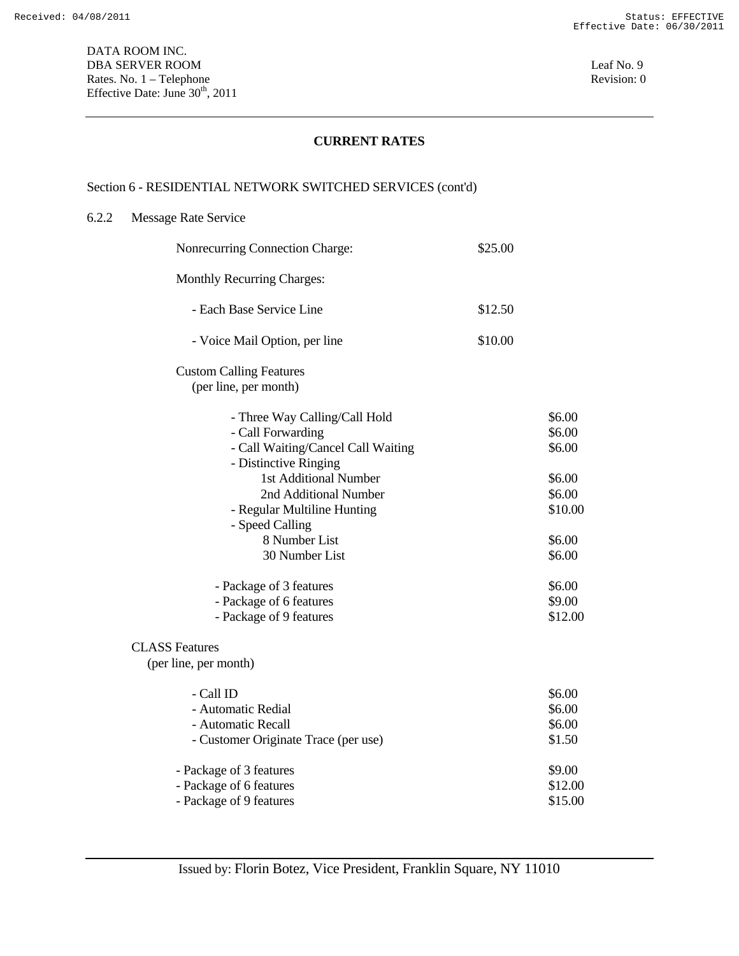# Section 6 - RESIDENTIAL NETWORK SWITCHED SERVICES (cont'd)

#### 6.2.2 Message Rate Service

| Nonrecurring Connection Charge:                                                                                   | \$25.00 |                            |
|-------------------------------------------------------------------------------------------------------------------|---------|----------------------------|
| Monthly Recurring Charges:                                                                                        |         |                            |
| - Each Base Service Line                                                                                          | \$12.50 |                            |
| - Voice Mail Option, per line                                                                                     | \$10.00 |                            |
| <b>Custom Calling Features</b><br>(per line, per month)                                                           |         |                            |
| - Three Way Calling/Call Hold<br>- Call Forwarding<br>- Call Waiting/Cancel Call Waiting<br>- Distinctive Ringing |         | \$6.00<br>\$6.00<br>\$6.00 |
| 1st Additional Number                                                                                             |         | \$6.00                     |
| 2nd Additional Number                                                                                             |         | \$6.00                     |
| - Regular Multiline Hunting                                                                                       |         | \$10.00                    |
| - Speed Calling<br>8 Number List                                                                                  |         | \$6.00                     |
| 30 Number List                                                                                                    |         | \$6.00                     |
| - Package of 3 features                                                                                           |         | \$6.00                     |
| - Package of 6 features                                                                                           |         | \$9.00                     |
| - Package of 9 features                                                                                           |         | \$12.00                    |
| <b>CLASS Features</b>                                                                                             |         |                            |
| (per line, per month)                                                                                             |         |                            |
| - Call ID                                                                                                         |         | \$6.00                     |
| - Automatic Redial                                                                                                |         | \$6.00                     |
| - Automatic Recall                                                                                                |         | \$6.00                     |
| - Customer Originate Trace (per use)                                                                              |         | \$1.50                     |
| - Package of 3 features                                                                                           |         | \$9.00                     |
| - Package of 6 features                                                                                           |         | \$12.00                    |
| - Package of 9 features                                                                                           |         | \$15.00                    |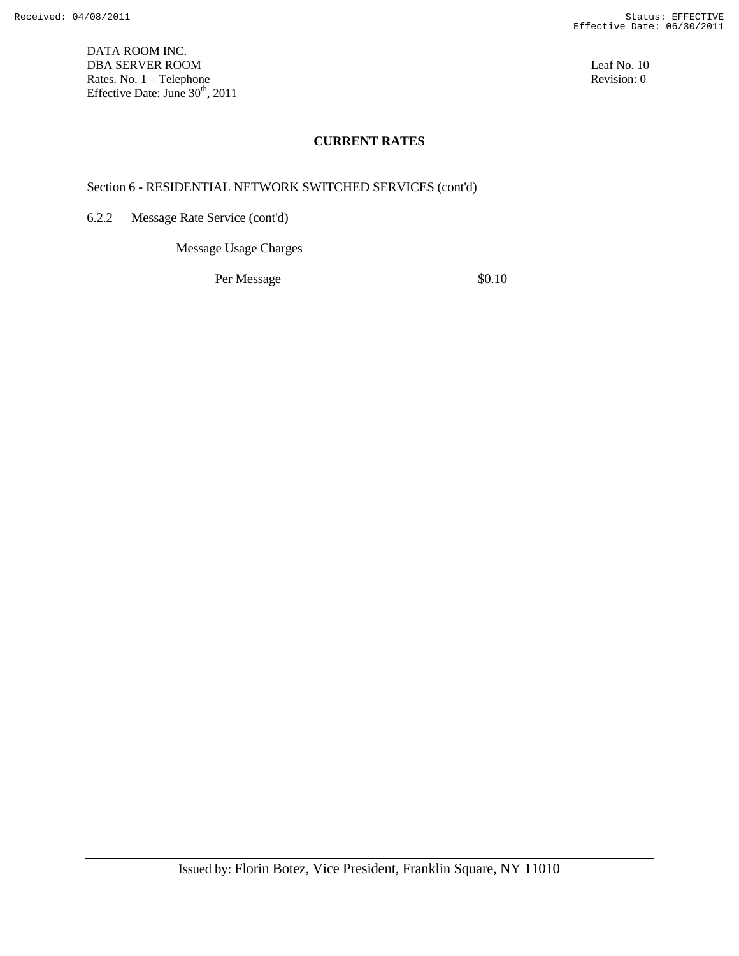DATA ROOM INC. DBA SERVER ROOM Leaf No. 10 Rates. No. 1 – Telephone Revision: 0 Effective Date: June  $30<sup>th</sup>$ , 2011

## **CURRENT RATES**

Section 6 - RESIDENTIAL NETWORK SWITCHED SERVICES (cont'd)

6.2.2 Message Rate Service (cont'd)

Message Usage Charges

Per Message  $\$0.10$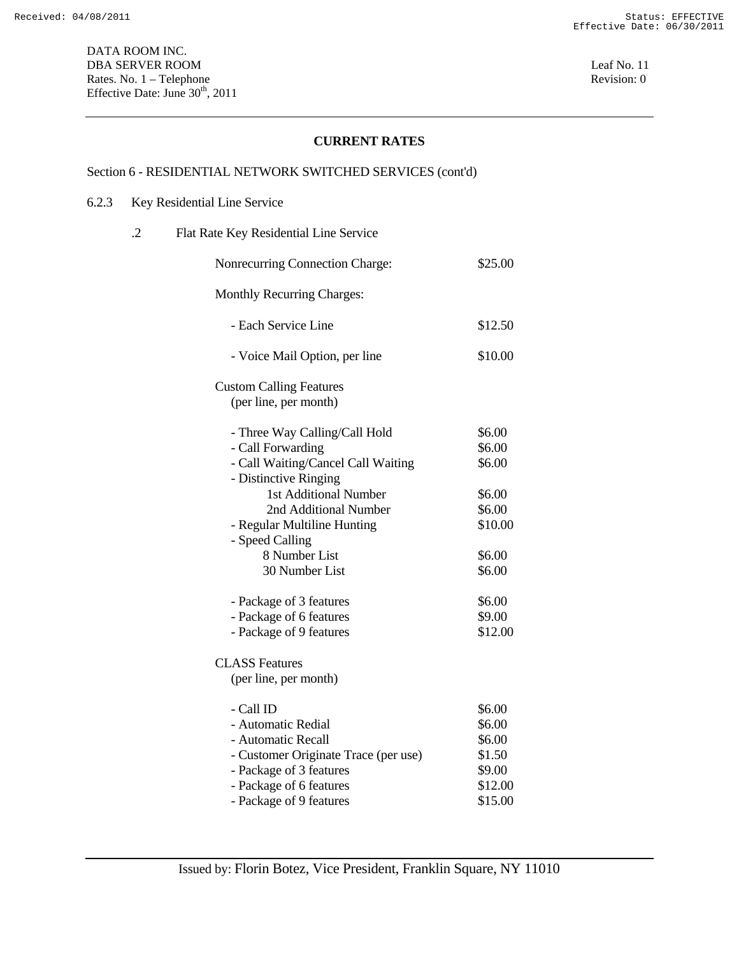# Section 6 - RESIDENTIAL NETWORK SWITCHED SERVICES (cont'd)

## 6.2.3 Key Residential Line Service

| $\cdot$ | Flat Rate Key Residential Line Service                                                                                                              |                                                           |
|---------|-----------------------------------------------------------------------------------------------------------------------------------------------------|-----------------------------------------------------------|
|         | Nonrecurring Connection Charge:                                                                                                                     | \$25.00                                                   |
|         | Monthly Recurring Charges:                                                                                                                          |                                                           |
|         | - Each Service Line                                                                                                                                 | \$12.50                                                   |
|         | - Voice Mail Option, per line                                                                                                                       | \$10.00                                                   |
|         | <b>Custom Calling Features</b><br>(per line, per month)                                                                                             |                                                           |
|         | - Three Way Calling/Call Hold<br>- Call Forwarding<br>- Call Waiting/Cancel Call Waiting                                                            | \$6.00<br>\$6.00<br>\$6.00                                |
|         | - Distinctive Ringing<br>1st Additional Number<br>2nd Additional Number<br>- Regular Multiline Hunting<br>- Speed Calling                           | \$6.00<br>\$6.00<br>\$10.00                               |
|         | 8 Number List<br>30 Number List                                                                                                                     | \$6.00<br>\$6.00                                          |
|         | - Package of 3 features<br>- Package of 6 features<br>- Package of 9 features                                                                       | \$6.00<br>\$9.00<br>\$12.00                               |
|         | <b>CLASS Features</b><br>(per line, per month)                                                                                                      |                                                           |
|         | - Call ID<br>- Automatic Redial<br>- Automatic Recall<br>- Customer Originate Trace (per use)<br>- Package of 3 features<br>- Package of 6 features | \$6.00<br>\$6.00<br>\$6.00<br>\$1.50<br>\$9.00<br>\$12.00 |
|         | - Package of 9 features                                                                                                                             | \$15.00                                                   |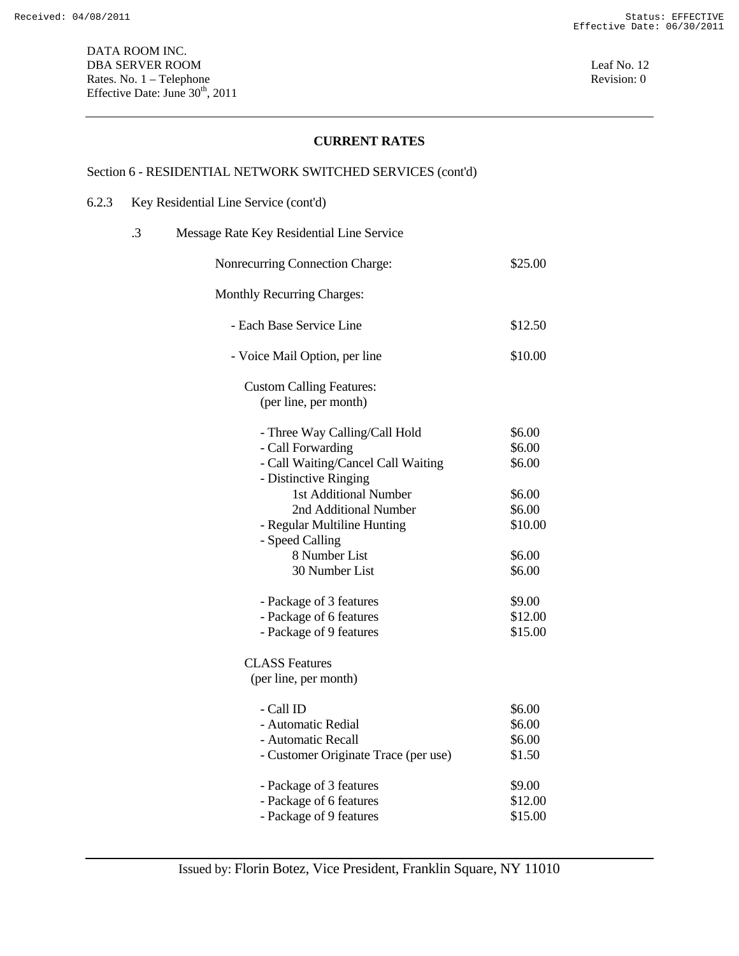# Section 6 - RESIDENTIAL NETWORK SWITCHED SERVICES (cont'd)

## 6.2.3 Key Residential Line Service (cont'd)

| .3 | Message Rate Key Residential Line Service                                                                                 |                                      |
|----|---------------------------------------------------------------------------------------------------------------------------|--------------------------------------|
|    | Nonrecurring Connection Charge:                                                                                           | \$25.00                              |
|    | <b>Monthly Recurring Charges:</b>                                                                                         |                                      |
|    | - Each Base Service Line                                                                                                  | \$12.50                              |
|    | - Voice Mail Option, per line                                                                                             | \$10.00                              |
|    | <b>Custom Calling Features:</b><br>(per line, per month)                                                                  |                                      |
|    | - Three Way Calling/Call Hold<br>- Call Forwarding<br>- Call Waiting/Cancel Call Waiting                                  | \$6.00<br>\$6.00<br>\$6.00           |
|    | - Distinctive Ringing<br>1st Additional Number<br>2nd Additional Number<br>- Regular Multiline Hunting<br>- Speed Calling | \$6.00<br>\$6.00<br>\$10.00          |
|    | 8 Number List<br>30 Number List                                                                                           | \$6.00<br>\$6.00                     |
|    | - Package of 3 features<br>- Package of 6 features<br>- Package of 9 features                                             | \$9.00<br>\$12.00<br>\$15.00         |
|    | <b>CLASS Features</b><br>(per line, per month)                                                                            |                                      |
|    | - Call ID<br>- Automatic Redial<br>- Automatic Recall<br>- Customer Originate Trace (per use)                             | \$6.00<br>\$6.00<br>\$6.00<br>\$1.50 |
|    | - Package of 3 features<br>- Package of 6 features<br>- Package of 9 features                                             | \$9.00<br>\$12.00<br>\$15.00         |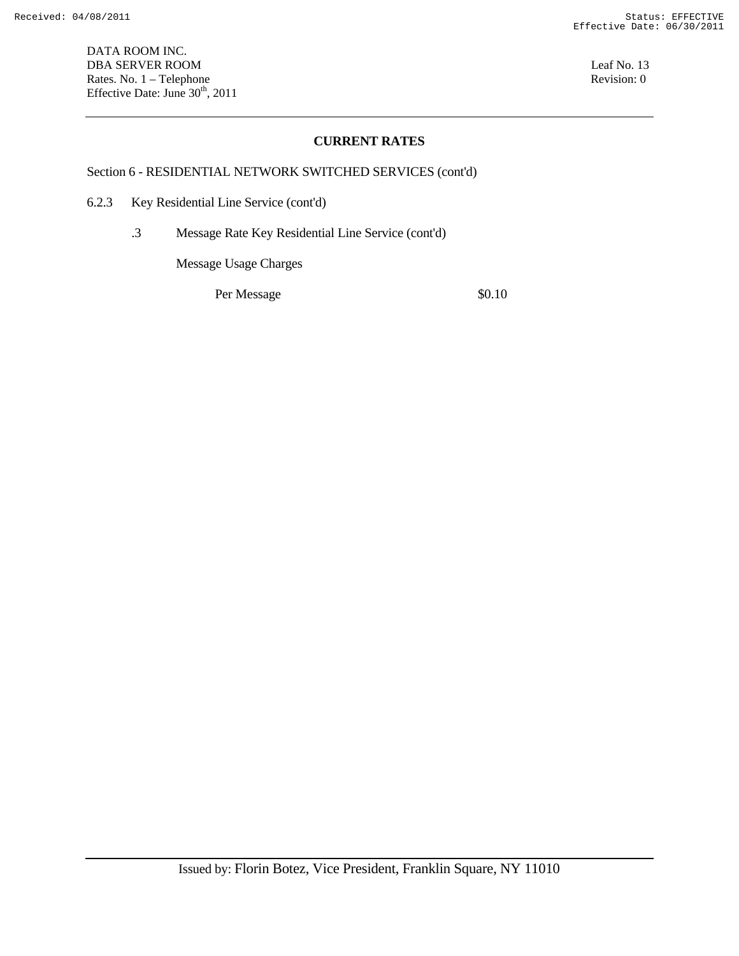Section 6 - RESIDENTIAL NETWORK SWITCHED SERVICES (cont'd)

- 6.2.3 Key Residential Line Service (cont'd)
	- .3 Message Rate Key Residential Line Service (cont'd)

Message Usage Charges

Per Message  $\$0.10$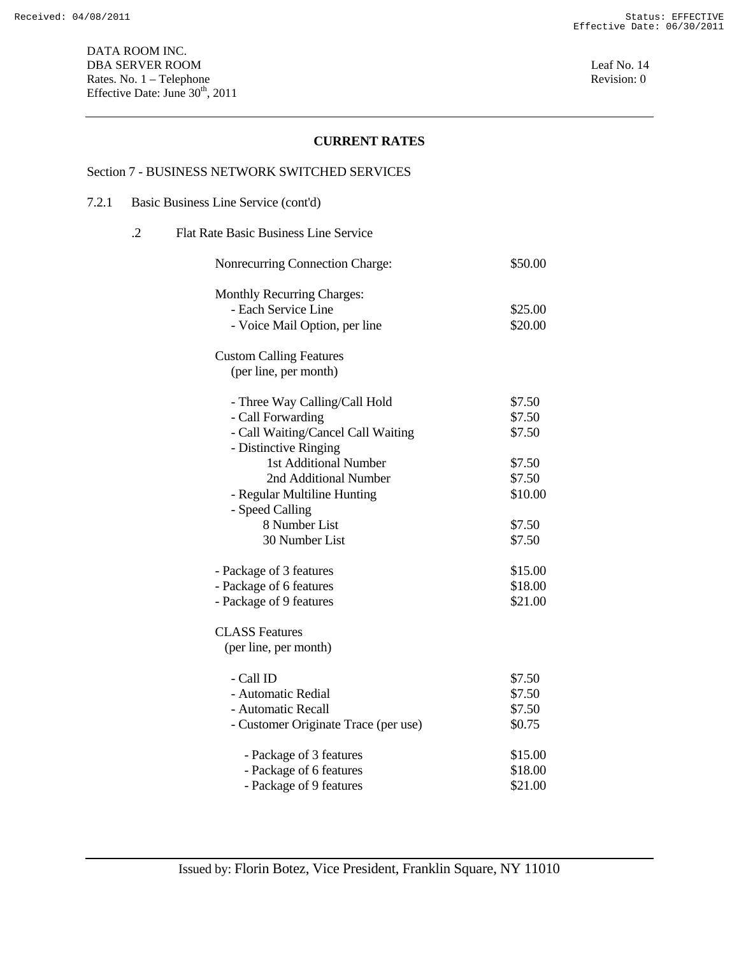#### Section 7 - BUSINESS NETWORK SWITCHED SERVICES

# 7.2.1 Basic Business Line Service (cont'd)

| $\cdot$ 2 | <b>Flat Rate Basic Business Line Service</b> |         |
|-----------|----------------------------------------------|---------|
|           | Nonrecurring Connection Charge:              | \$50.00 |
|           | <b>Monthly Recurring Charges:</b>            |         |
|           | - Each Service Line                          | \$25.00 |
|           | - Voice Mail Option, per line                | \$20.00 |
|           | <b>Custom Calling Features</b>               |         |
|           | (per line, per month)                        |         |
|           | - Three Way Calling/Call Hold                | \$7.50  |
|           | - Call Forwarding                            | \$7.50  |
|           | - Call Waiting/Cancel Call Waiting           | \$7.50  |
|           | - Distinctive Ringing                        |         |
|           | 1st Additional Number                        | \$7.50  |
|           | 2nd Additional Number                        | \$7.50  |
|           | - Regular Multiline Hunting                  | \$10.00 |
|           | - Speed Calling                              |         |
|           | 8 Number List                                | \$7.50  |
|           | 30 Number List                               | \$7.50  |
|           | - Package of 3 features                      | \$15.00 |
|           | - Package of 6 features                      | \$18.00 |
|           | - Package of 9 features                      | \$21.00 |
|           | <b>CLASS Features</b>                        |         |
|           | (per line, per month)                        |         |
|           | - Call ID                                    | \$7.50  |
|           | - Automatic Redial                           | \$7.50  |
|           | - Automatic Recall                           | \$7.50  |

| - Automatic Recall                   | \$7.50  |
|--------------------------------------|---------|
| - Customer Originate Trace (per use) | \$0.75  |
| - Package of 3 features              | \$15.00 |
| - Package of 6 features              | \$18.00 |
| - Package of 9 features              | \$21.00 |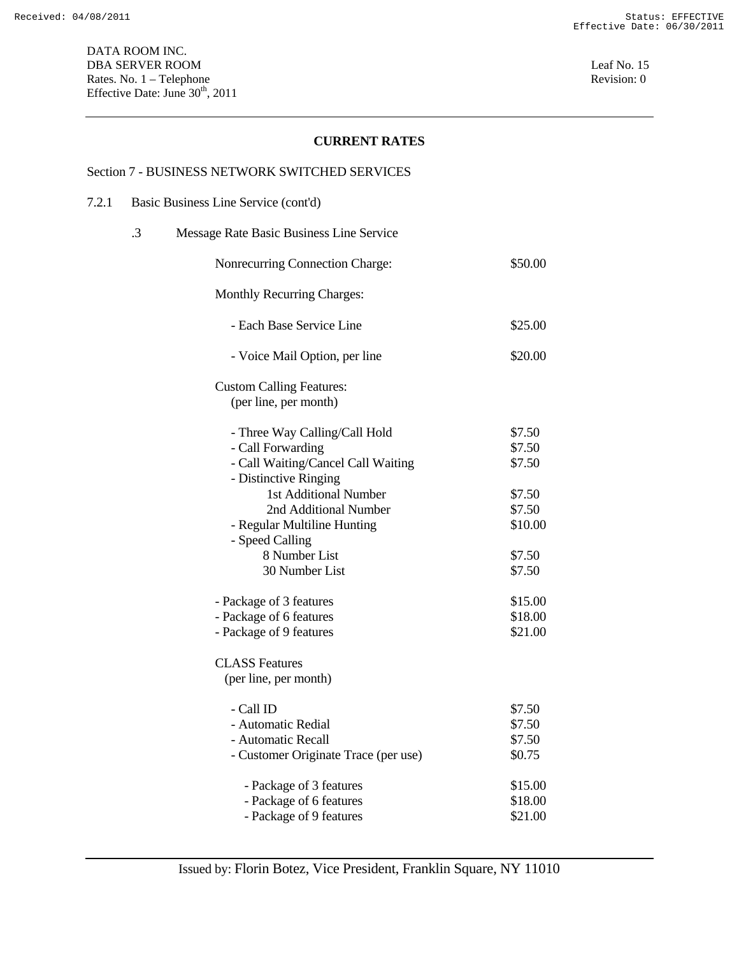#### Section 7 - BUSINESS NETWORK SWITCHED SERVICES

7.2.1 Basic Business Line Service (cont'd)

| .3 | Message Rate Basic Business Line Service |         |
|----|------------------------------------------|---------|
|    | Nonrecurring Connection Charge:          | \$50.00 |
|    | Monthly Recurring Charges:               |         |
|    | - Each Base Service Line                 | \$25.00 |
|    | - Voice Mail Option, per line            | \$20.00 |
|    | <b>Custom Calling Features:</b>          |         |
|    | (per line, per month)                    |         |
|    | - Three Way Calling/Call Hold            | \$7.50  |
|    | - Call Forwarding                        | \$7.50  |
|    | - Call Waiting/Cancel Call Waiting       | \$7.50  |
|    | - Distinctive Ringing                    |         |
|    | 1st Additional Number                    | \$7.50  |
|    | 2nd Additional Number                    | \$7.50  |
|    | - Regular Multiline Hunting              | \$10.00 |
|    | - Speed Calling                          |         |
|    | 8 Number List                            | \$7.50  |
|    | 30 Number List                           | \$7.50  |
|    | - Package of 3 features                  | \$15.00 |
|    | - Package of 6 features                  | \$18.00 |
|    | - Package of 9 features                  | \$21.00 |
|    | <b>CLASS Features</b>                    |         |
|    | (per line, per month)                    |         |
|    | - Call ID                                | \$7.50  |
|    | - Automatic Redial                       | \$7.50  |
|    | - Automatic Recall                       | \$7.50  |
|    | - Customer Originate Trace (per use)     | \$0.75  |
|    | - Package of 3 features                  | \$15.00 |
|    | - Package of 6 features                  | \$18.00 |
|    | - Package of 9 features                  | \$21.00 |
|    |                                          |         |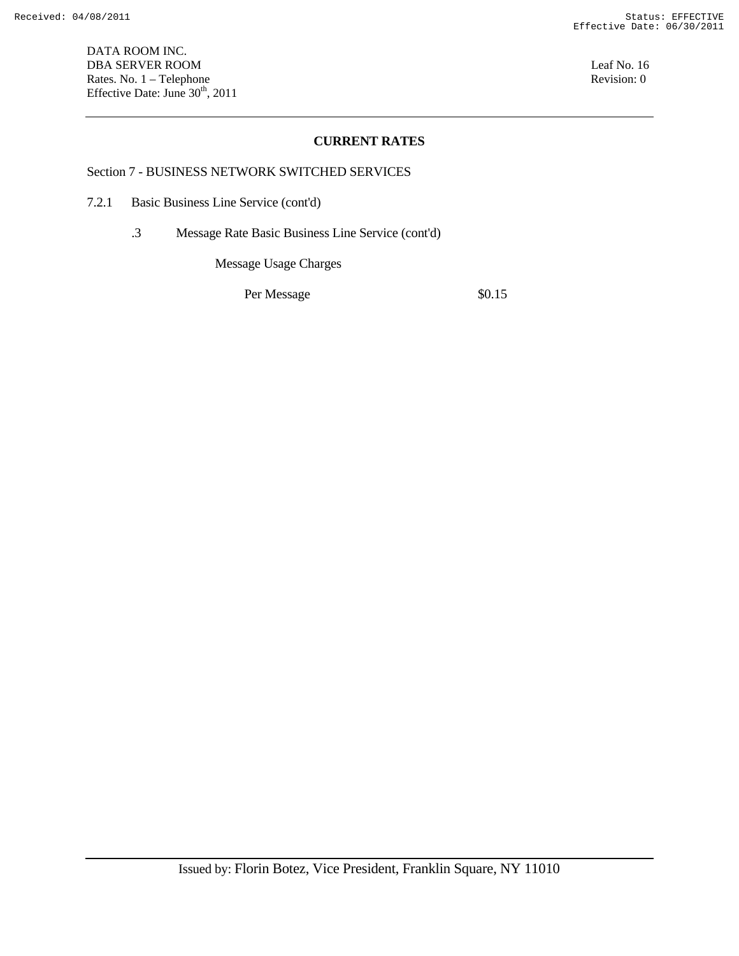DATA ROOM INC. DBA SERVER ROOM Leaf No. 16 Rates. No. 1 – Telephone Revision: 0 Effective Date: June  $30<sup>th</sup>$ , 2011

## **CURRENT RATES**

#### Section 7 - BUSINESS NETWORK SWITCHED SERVICES

- 7.2.1 Basic Business Line Service (cont'd)
	- .3 Message Rate Basic Business Line Service (cont'd)

Message Usage Charges

Per Message  $\$0.15$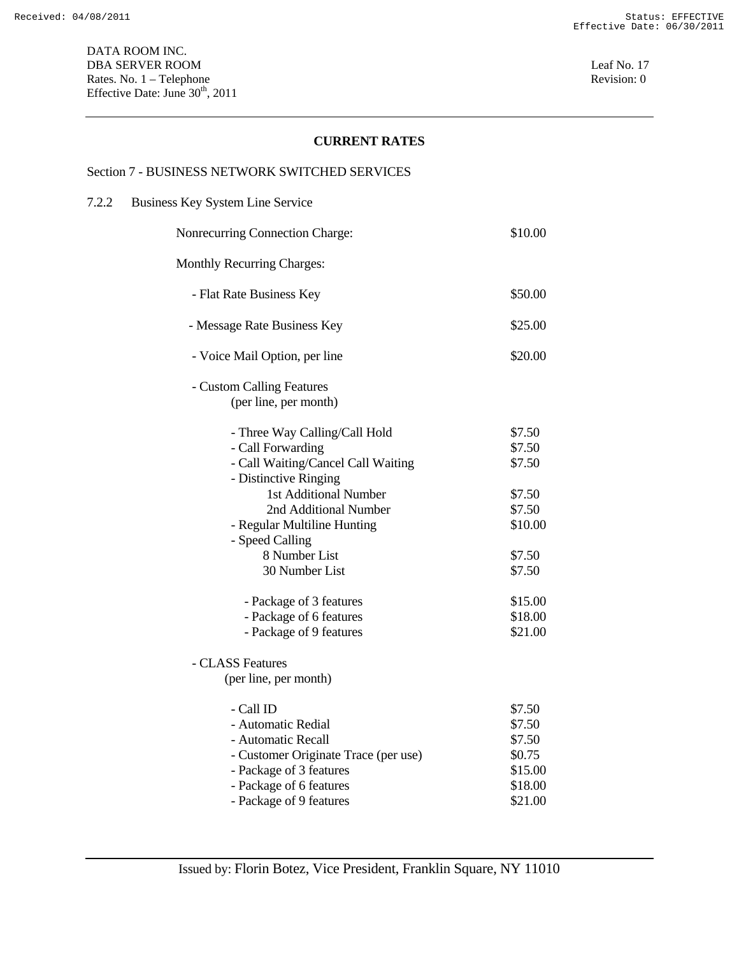#### Section 7 - BUSINESS NETWORK SWITCHED SERVICES

#### 7.2.2 Business Key System Line Service

| Nonrecurring Connection Charge:                                                                                                                                                | \$10.00                                                               |
|--------------------------------------------------------------------------------------------------------------------------------------------------------------------------------|-----------------------------------------------------------------------|
| <b>Monthly Recurring Charges:</b>                                                                                                                                              |                                                                       |
| - Flat Rate Business Key                                                                                                                                                       | \$50.00                                                               |
| - Message Rate Business Key                                                                                                                                                    | \$25.00                                                               |
| - Voice Mail Option, per line                                                                                                                                                  | \$20.00                                                               |
| - Custom Calling Features<br>(per line, per month)                                                                                                                             |                                                                       |
| - Three Way Calling/Call Hold<br>- Call Forwarding<br>- Call Waiting/Cancel Call Waiting<br>- Distinctive Ringing<br>1st Additional Number<br>2nd Additional Number            | \$7.50<br>\$7.50<br>\$7.50<br>\$7.50<br>\$7.50                        |
| - Regular Multiline Hunting<br>- Speed Calling                                                                                                                                 | \$10.00                                                               |
| 8 Number List<br>30 Number List                                                                                                                                                | \$7.50<br>\$7.50                                                      |
| - Package of 3 features<br>- Package of 6 features<br>- Package of 9 features                                                                                                  | \$15.00<br>\$18.00<br>\$21.00                                         |
| - CLASS Features<br>(per line, per month)                                                                                                                                      |                                                                       |
| - Call ID<br>- Automatic Redial<br>- Automatic Recall<br>- Customer Originate Trace (per use)<br>- Package of 3 features<br>- Package of 6 features<br>- Package of 9 features | \$7.50<br>\$7.50<br>\$7.50<br>\$0.75<br>\$15.00<br>\$18.00<br>\$21.00 |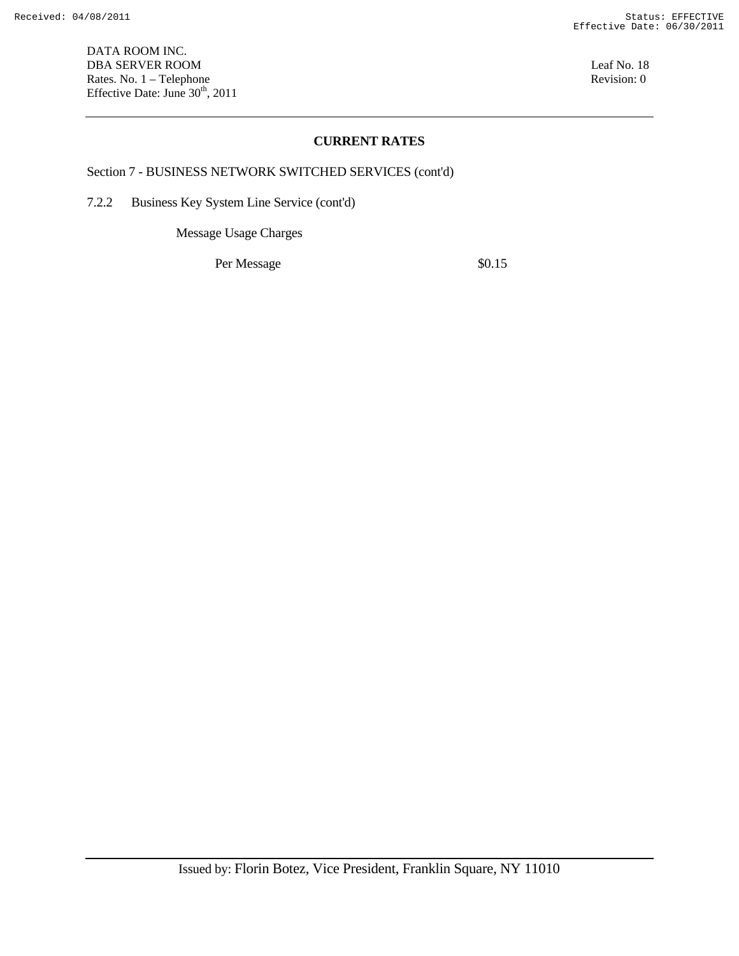DATA ROOM INC. DBA SERVER ROOM Leaf No. 18 Rates. No. 1 – Telephone Revision: 0 Effective Date: June  $30<sup>th</sup>$ , 2011

#### **CURRENT RATES**

#### Section 7 - BUSINESS NETWORK SWITCHED SERVICES (cont'd)

7.2.2 Business Key System Line Service (cont'd)

Message Usage Charges

Per Message  $\$0.15$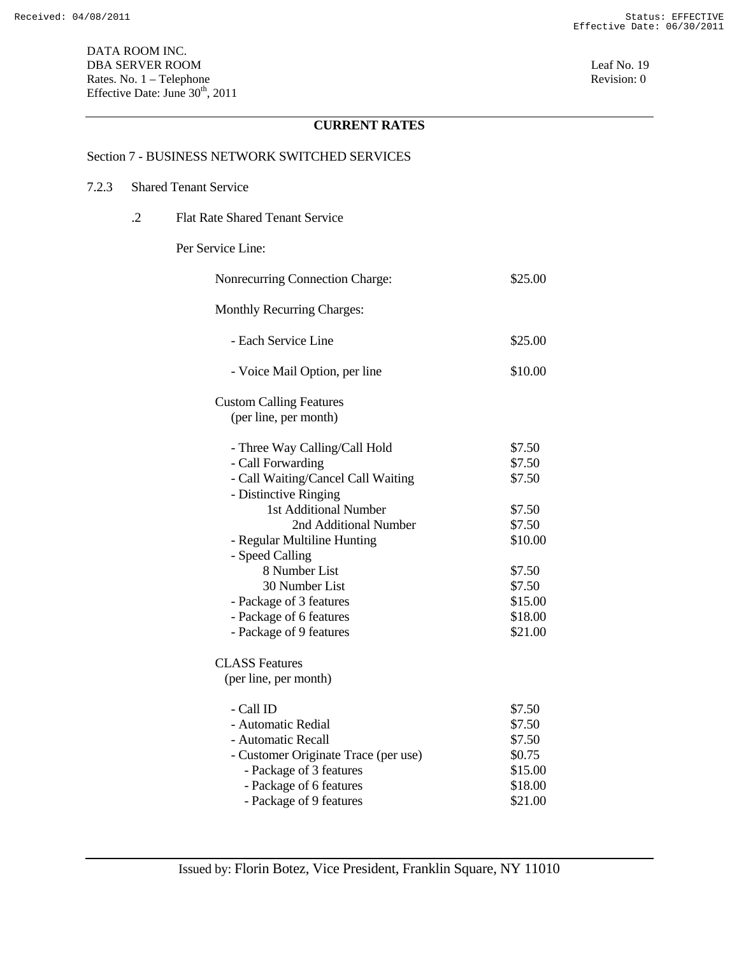#### Section 7 - BUSINESS NETWORK SWITCHED SERVICES

# 7.2.3 Shared Tenant Service

.2 Flat Rate Shared Tenant Service

#### Per Service Line:

| Nonrecurring Connection Charge:      | \$25.00 |
|--------------------------------------|---------|
| <b>Monthly Recurring Charges:</b>    |         |
| - Each Service Line                  | \$25.00 |
| - Voice Mail Option, per line        | \$10.00 |
| <b>Custom Calling Features</b>       |         |
| (per line, per month)                |         |
| - Three Way Calling/Call Hold        | \$7.50  |
| - Call Forwarding                    | \$7.50  |
| - Call Waiting/Cancel Call Waiting   | \$7.50  |
| - Distinctive Ringing                |         |
| 1st Additional Number                | \$7.50  |
| 2nd Additional Number                | \$7.50  |
| - Regular Multiline Hunting          | \$10.00 |
| - Speed Calling                      |         |
| 8 Number List                        | \$7.50  |
| 30 Number List                       | \$7.50  |
| - Package of 3 features              | \$15.00 |
| - Package of 6 features              | \$18.00 |
| - Package of 9 features              | \$21.00 |
| <b>CLASS Features</b>                |         |
| (per line, per month)                |         |
| - Call ID                            | \$7.50  |
| - Automatic Redial                   | \$7.50  |
| - Automatic Recall                   | \$7.50  |
| - Customer Originate Trace (per use) | \$0.75  |
| - Package of 3 features              | \$15.00 |
| - Package of 6 features              | \$18.00 |
| - Package of 9 features              | \$21.00 |
|                                      |         |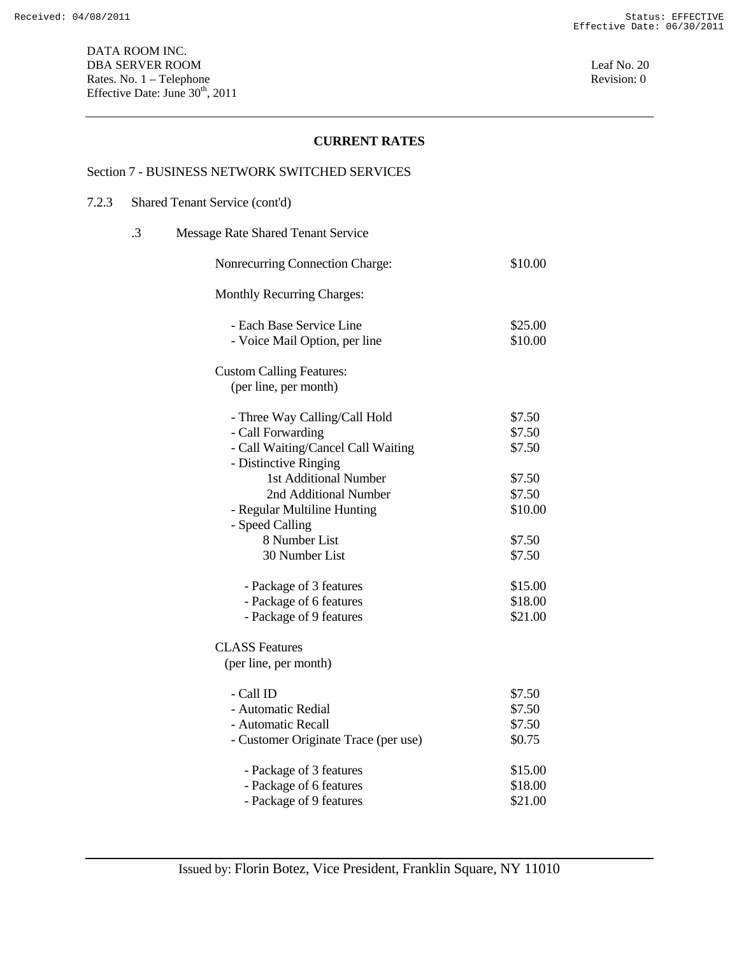#### Section 7 - BUSINESS NETWORK SWITCHED SERVICES

## 7.2.3 Shared Tenant Service (cont'd)

| .3 | Message Rate Shared Tenant Service   |         |
|----|--------------------------------------|---------|
|    | Nonrecurring Connection Charge:      | \$10.00 |
|    | <b>Monthly Recurring Charges:</b>    |         |
|    | - Each Base Service Line             | \$25.00 |
|    | - Voice Mail Option, per line        | \$10.00 |
|    | <b>Custom Calling Features:</b>      |         |
|    | (per line, per month)                |         |
|    | - Three Way Calling/Call Hold        | \$7.50  |
|    | - Call Forwarding                    | \$7.50  |
|    | - Call Waiting/Cancel Call Waiting   | \$7.50  |
|    | - Distinctive Ringing                |         |
|    | 1st Additional Number                | \$7.50  |
|    | 2nd Additional Number                | \$7.50  |
|    | - Regular Multiline Hunting          | \$10.00 |
|    | - Speed Calling                      |         |
|    | 8 Number List                        | \$7.50  |
|    | 30 Number List                       | \$7.50  |
|    | - Package of 3 features              | \$15.00 |
|    | - Package of 6 features              | \$18.00 |
|    | - Package of 9 features              | \$21.00 |
|    | <b>CLASS Features</b>                |         |
|    | (per line, per month)                |         |
|    | - Call ID                            | \$7.50  |
|    | - Automatic Redial                   | \$7.50  |
|    | - Automatic Recall                   | \$7.50  |
|    | - Customer Originate Trace (per use) | \$0.75  |
|    | - Package of 3 features              | \$15.00 |
|    | - Package of 6 features              | \$18.00 |
|    | - Package of 9 features              | \$21.00 |
|    |                                      |         |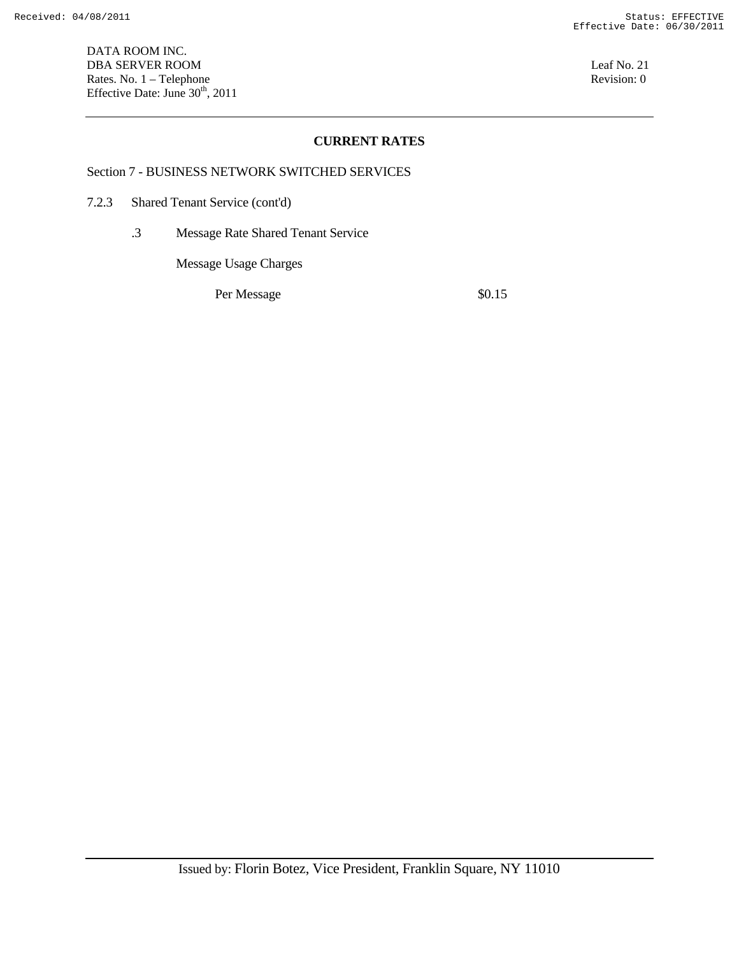DATA ROOM INC. DBA SERVER ROOM Leaf No. 21 Rates. No. 1 – Telephone Revision: 0 Effective Date: June  $30<sup>th</sup>$ , 2011

#### **CURRENT RATES**

#### Section 7 - BUSINESS NETWORK SWITCHED SERVICES

- 7.2.3 Shared Tenant Service (cont'd)
	- .3 Message Rate Shared Tenant Service

Message Usage Charges

Per Message  $\$0.15$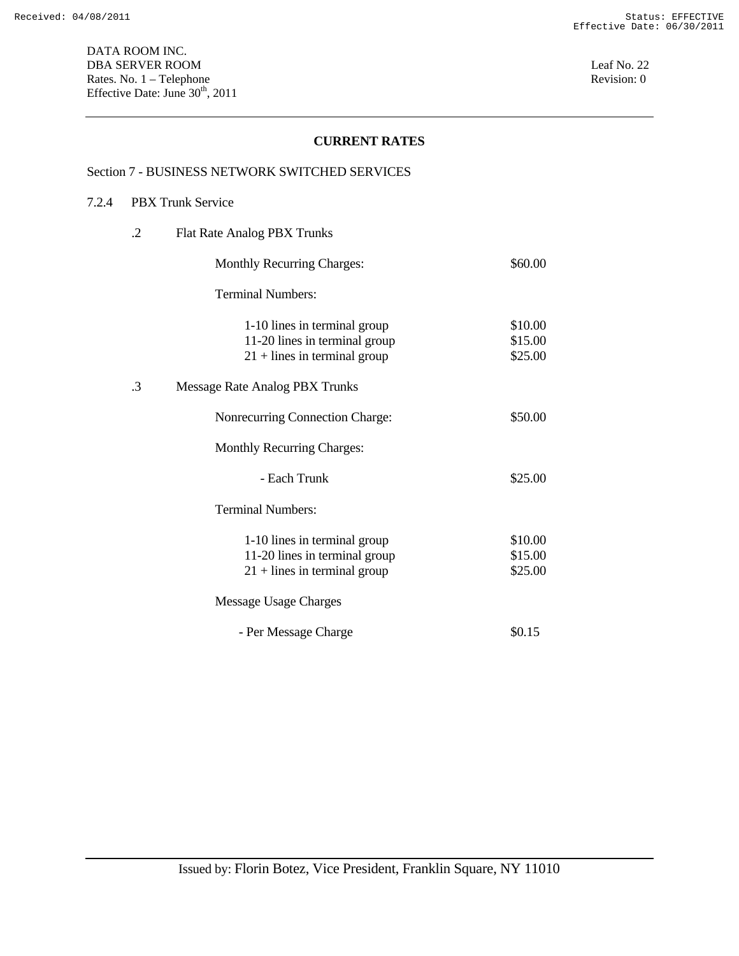#### Section 7 - BUSINESS NETWORK SWITCHED SERVICES

## 7.2.4 PBX Trunk Service

| .2        | Flat Rate Analog PBX Trunks                                                                     |                               |
|-----------|-------------------------------------------------------------------------------------------------|-------------------------------|
|           | <b>Monthly Recurring Charges:</b>                                                               | \$60.00                       |
|           | <b>Terminal Numbers:</b>                                                                        |                               |
|           | 1-10 lines in terminal group<br>11-20 lines in terminal group<br>$21 +$ lines in terminal group | \$10.00<br>\$15.00<br>\$25.00 |
| $\cdot$ 3 | Message Rate Analog PBX Trunks                                                                  |                               |
|           | Nonrecurring Connection Charge:                                                                 | \$50.00                       |
|           | <b>Monthly Recurring Charges:</b>                                                               |                               |
|           | - Each Trunk                                                                                    | \$25.00                       |
|           | <b>Terminal Numbers:</b>                                                                        |                               |
|           | 1-10 lines in terminal group<br>11-20 lines in terminal group<br>$21 +$ lines in terminal group | \$10.00<br>\$15.00<br>\$25.00 |
|           | Message Usage Charges                                                                           |                               |
|           | - Per Message Charge                                                                            | \$0.15                        |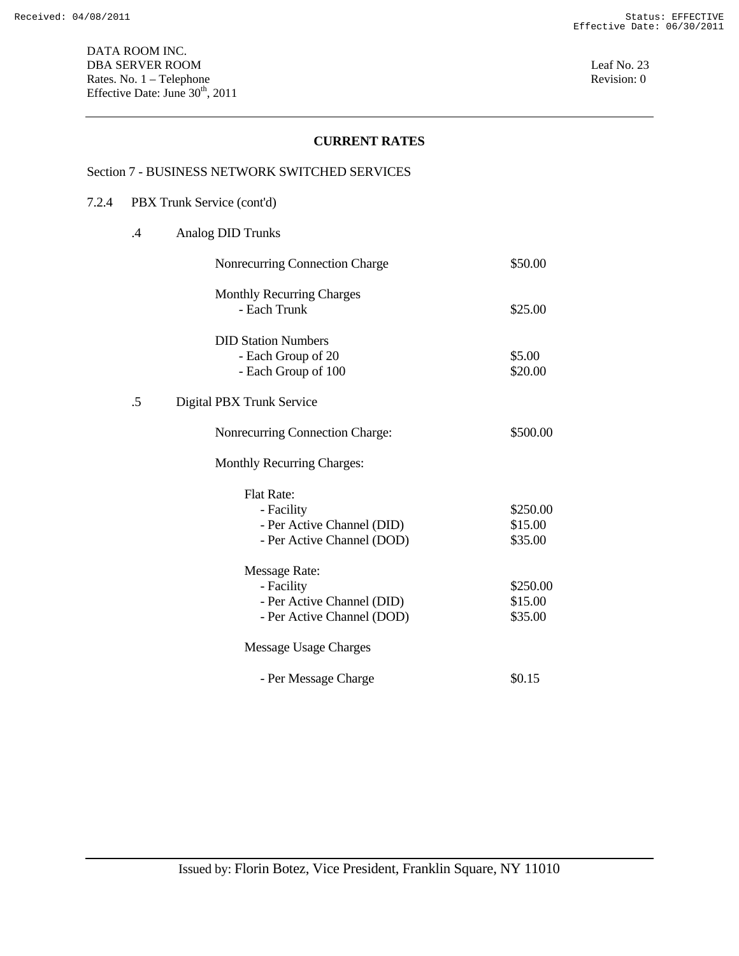DATA ROOM INC. DBA SERVER ROOM Leaf No. 23 Rates. No. 1 – Telephone Revision: 0 Effective Date: June  $30<sup>th</sup>$ , 2011

## **CURRENT RATES**

#### Section 7 - BUSINESS NETWORK SWITCHED SERVICES

## 7.2.4 PBX Trunk Service (cont'd)

|  | Analog DID Trunks |
|--|-------------------|
|--|-------------------|

| Nonrecurring Connection Charge                                                                 | \$50.00                        |
|------------------------------------------------------------------------------------------------|--------------------------------|
| <b>Monthly Recurring Charges</b><br>- Each Trunk                                               | \$25.00                        |
| <b>DID Station Numbers</b><br>- Each Group of 20<br>- Each Group of 100                        | \$5.00<br>\$20.00              |
| .5<br>Digital PBX Trunk Service                                                                |                                |
| Nonrecurring Connection Charge:                                                                | \$500.00                       |
| <b>Monthly Recurring Charges:</b>                                                              |                                |
| <b>Flat Rate:</b><br>- Facility<br>- Per Active Channel (DID)<br>- Per Active Channel (DOD)    | \$250.00<br>\$15.00<br>\$35.00 |
| <b>Message Rate:</b><br>- Facility<br>- Per Active Channel (DID)<br>- Per Active Channel (DOD) | \$250.00<br>\$15.00<br>\$35.00 |
| Message Usage Charges                                                                          |                                |
| - Per Message Charge                                                                           | \$0.15                         |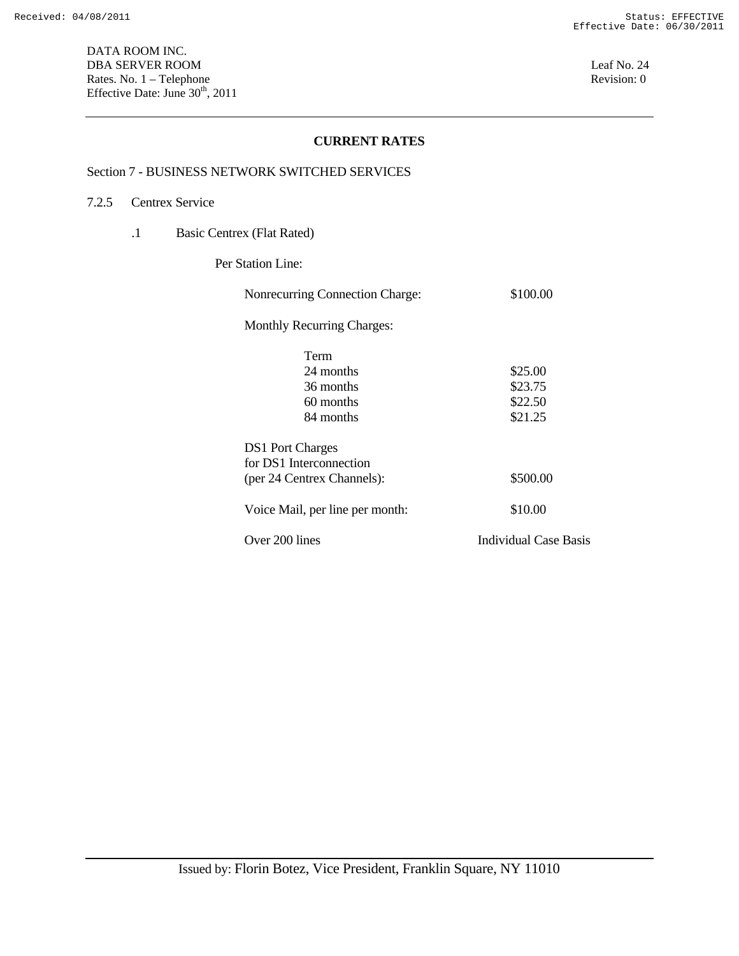DATA ROOM INC. DBA SERVER ROOM Leaf No. 24 Rates. No. 1 – Telephone Revision: 0 Effective Date: June  $30<sup>th</sup>$ , 2011

## **CURRENT RATES**

#### Section 7 - BUSINESS NETWORK SWITCHED SERVICES

#### 7.2.5 Centrex Service

.1 Basic Centrex (Flat Rated)

Per Station Line:

| Nonrecurring Connection Charge:   | \$100.00                     |
|-----------------------------------|------------------------------|
| <b>Monthly Recurring Charges:</b> |                              |
| Term                              |                              |
| 24 months                         | \$25.00                      |
| 36 months                         | \$23.75                      |
| 60 months                         | \$22.50                      |
| 84 months                         | \$21.25                      |
| <b>DS1</b> Port Charges           |                              |
| for DS1 Interconnection           |                              |
| (per 24 Centrex Channels):        | \$500.00                     |
| Voice Mail, per line per month:   | \$10.00                      |
| Over 200 lines                    | <b>Individual Case Basis</b> |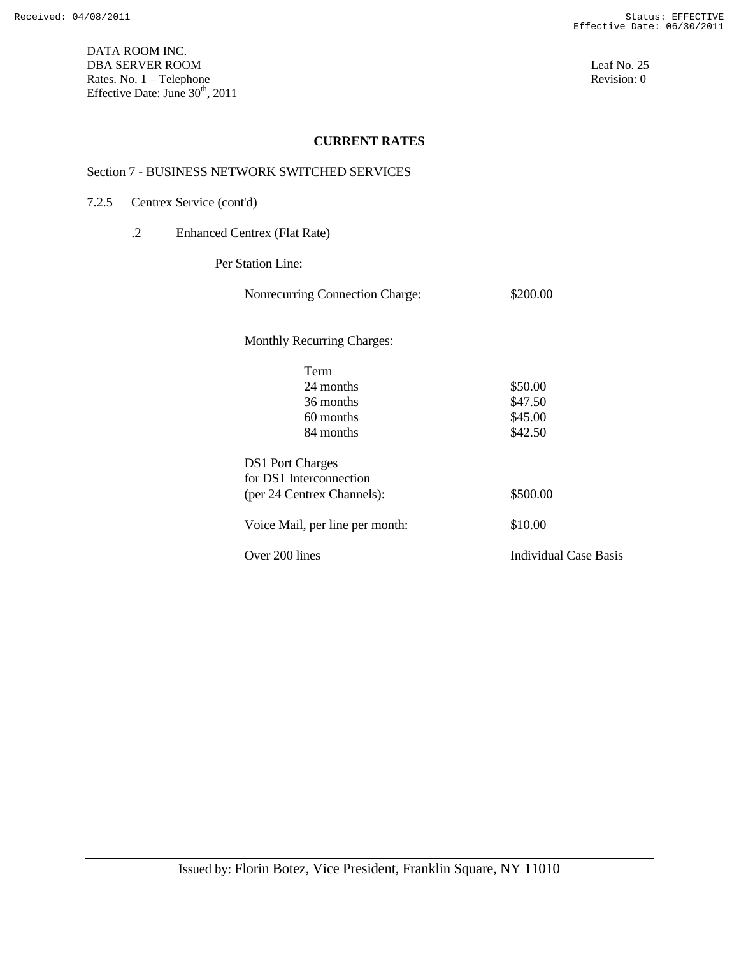#### Section 7 - BUSINESS NETWORK SWITCHED SERVICES

- 7.2.5 Centrex Service (cont'd)
	- .2 Enhanced Centrex (Flat Rate)

Per Station Line:

| Nonrecurring Connection Charge:   | \$200.00                     |
|-----------------------------------|------------------------------|
| <b>Monthly Recurring Charges:</b> |                              |
| Term                              |                              |
| 24 months                         | \$50.00                      |
| 36 months                         | \$47.50                      |
| 60 months                         | \$45.00                      |
| 84 months                         | \$42.50                      |
| <b>DS1</b> Port Charges           |                              |
| for DS1 Interconnection           |                              |
| (per 24 Centrex Channels):        | \$500.00                     |
| Voice Mail, per line per month:   | \$10.00                      |
| Over 200 lines                    | <b>Individual Case Basis</b> |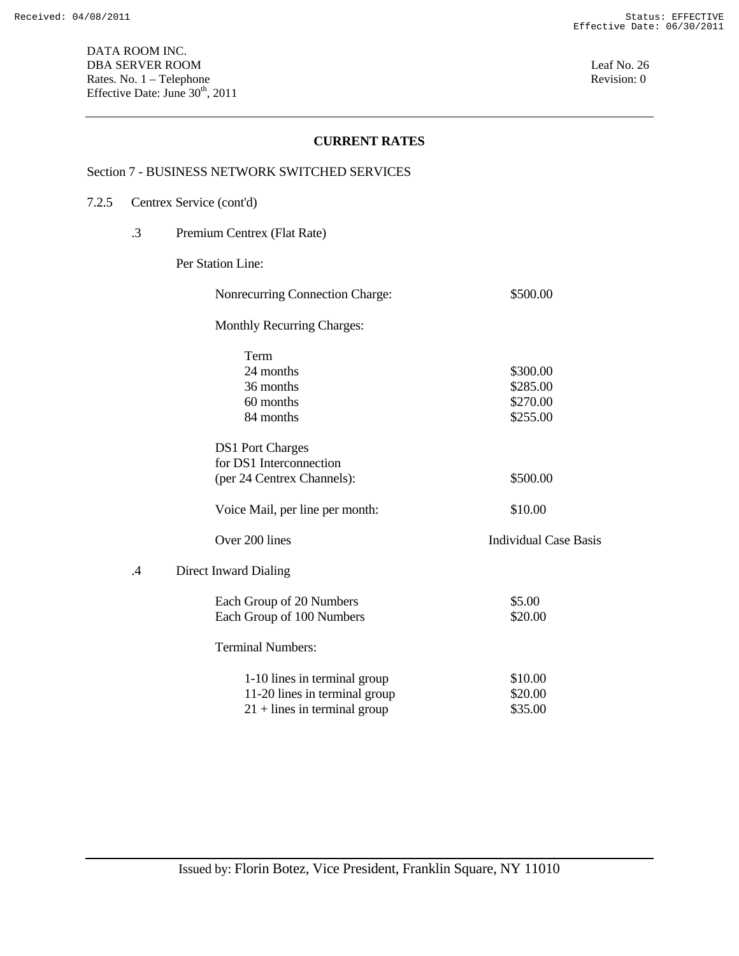DATA ROOM INC. DBA SERVER ROOM Leaf No. 26 Rates. No. 1 – Telephone Revision: 0 Effective Date: June  $30<sup>th</sup>$ , 2011

## **CURRENT RATES**

#### Section 7 - BUSINESS NETWORK SWITCHED SERVICES

#### 7.2.5 Centrex Service (cont'd)

.3 Premium Centrex (Flat Rate)

Per Station Line:

| Nonrecurring Connection Charge:  | \$500.00                     |
|----------------------------------|------------------------------|
| Monthly Recurring Charges:       |                              |
| Term                             |                              |
| 24 months                        | \$300.00                     |
| 36 months                        | \$285.00                     |
| 60 months                        | \$270.00                     |
| 84 months                        | \$255.00                     |
| <b>DS1</b> Port Charges          |                              |
| for DS1 Interconnection          |                              |
| (per 24 Centrex Channels):       | \$500.00                     |
| Voice Mail, per line per month:  | \$10.00                      |
| Over 200 lines                   | <b>Individual Case Basis</b> |
| $\cdot$<br>Direct Inward Dialing |                              |
| Each Group of 20 Numbers         | \$5.00                       |
| Each Group of 100 Numbers        | \$20.00                      |
| <b>Terminal Numbers:</b>         |                              |
| 1-10 lines in terminal group     | \$10.00                      |
| 11-20 lines in terminal group    | \$20.00                      |
| $21 +$ lines in terminal group   | \$35.00                      |